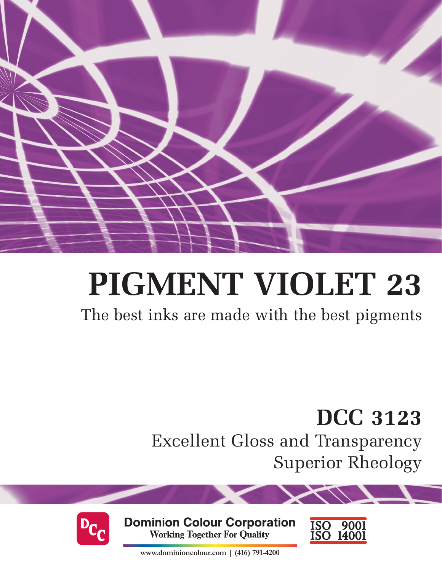

# **PIGMENT VIOLET 23**

The best inks are made with the best pigments

**DCC 3123** 

Excellent Gloss and Transparency Superior Rheology



**Dominion Colour Corporation Working Together For Quality** 



**www.dominioncolour.com | (416) 791-4200**